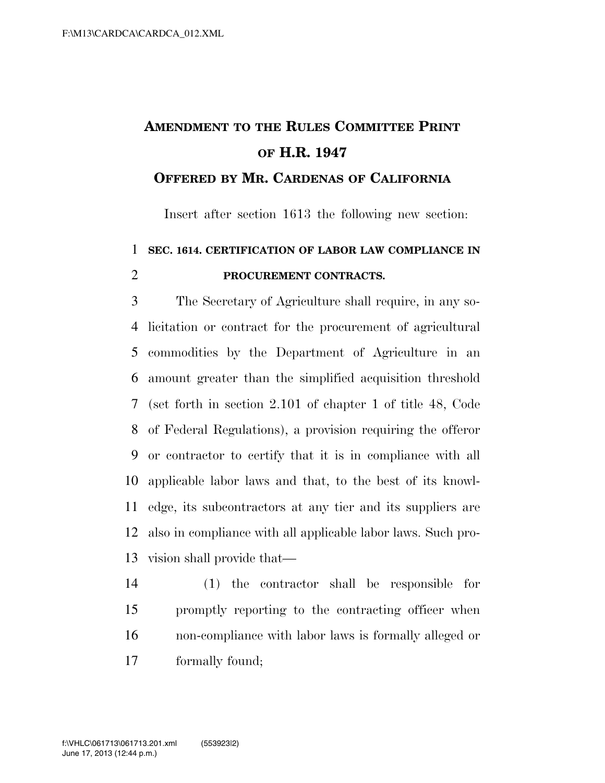## **AMENDMENT TO THE RULES COMMITTEE PRINT OF H.R. 1947**

## **OFFERED BY MR. CARDENAS OF CALIFORNIA**

Insert after section 1613 the following new section:

## **SEC. 1614. CERTIFICATION OF LABOR LAW COMPLIANCE IN PROCUREMENT CONTRACTS.**

 The Secretary of Agriculture shall require, in any so- licitation or contract for the procurement of agricultural commodities by the Department of Agriculture in an amount greater than the simplified acquisition threshold (set forth in section 2.101 of chapter 1 of title 48, Code of Federal Regulations), a provision requiring the offeror or contractor to certify that it is in compliance with all applicable labor laws and that, to the best of its knowl- edge, its subcontractors at any tier and its suppliers are also in compliance with all applicable labor laws. Such pro-vision shall provide that—

 (1) the contractor shall be responsible for promptly reporting to the contracting officer when non-compliance with labor laws is formally alleged or formally found;